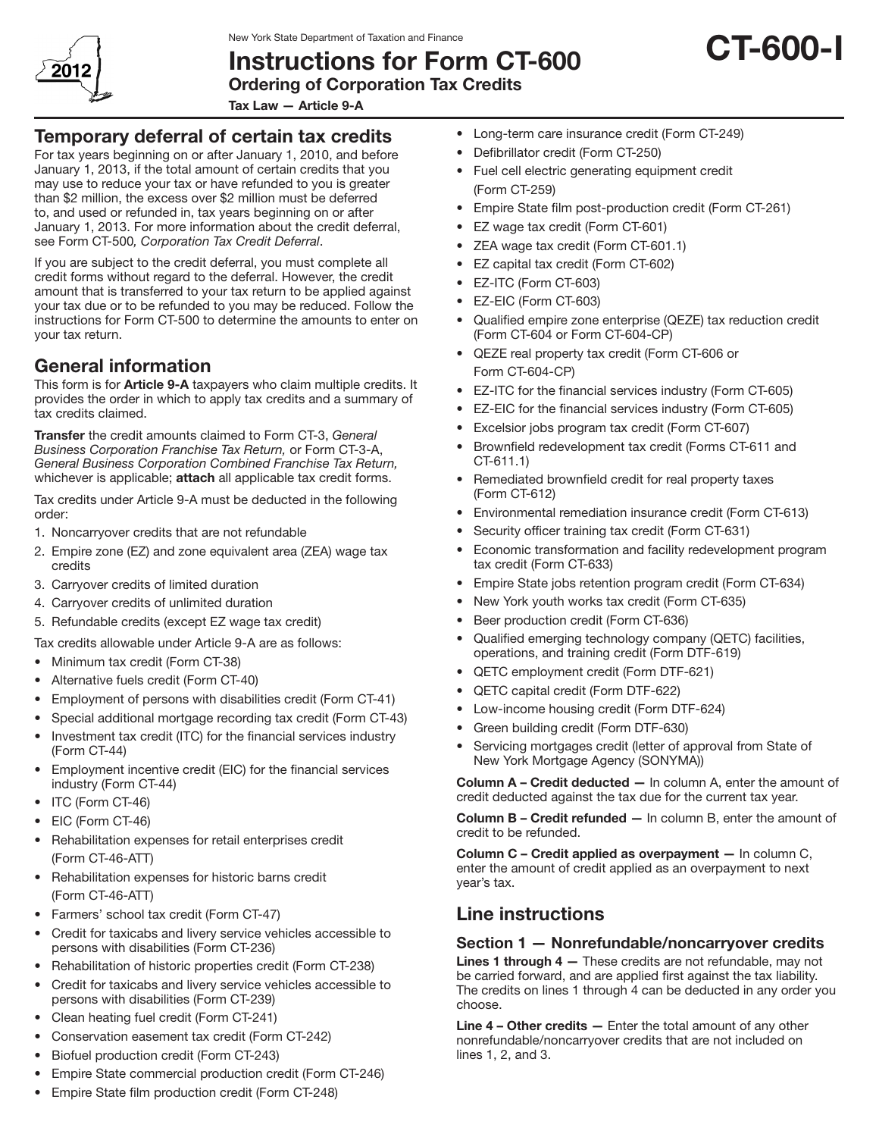

# Instructions for Form CT-600



Tax Law — Article 9-A

## Temporary deferral of certain tax credits

For tax years beginning on or after January 1, 2010, and before January 1, 2013, if the total amount of certain credits that you may use to reduce your tax or have refunded to you is greater than \$2 million, the excess over \$2 million must be deferred to, and used or refunded in, tax years beginning on or after January 1, 2013. For more information about the credit deferral, see Form CT-500*, Corporation Tax Credit Deferral*.

If you are subject to the credit deferral, you must complete all credit forms without regard to the deferral. However, the credit amount that is transferred to your tax return to be applied against your tax due or to be refunded to you may be reduced. Follow the instructions for Form CT-500 to determine the amounts to enter on your tax return.

## General information

This form is for **Article 9-A** taxpayers who claim multiple credits. It provides the order in which to apply tax credits and a summary of tax credits claimed.

Transfer the credit amounts claimed to Form CT-3, *General Business Corporation Franchise Tax Return,* or Form CT-3-A, *General Business Corporation Combined Franchise Tax Return,*  whichever is applicable; attach all applicable tax credit forms.

Tax credits under Article 9-A must be deducted in the following order:

- 1. Noncarryover credits that are not refundable
- 2. Empire zone (EZ) and zone equivalent area (ZEA) wage tax credits
- 3. Carryover credits of limited duration
- 4. Carryover credits of unlimited duration
- 5. Refundable credits (except EZ wage tax credit)

Tax credits allowable under Article 9-A are as follows:

- Minimum tax credit (Form CT-38)
- • Alternative fuels credit (Form CT-40)
- Employment of persons with disabilities credit (Form CT-41)
- Special additional mortgage recording tax credit (Form CT-43)
- Investment tax credit (ITC) for the financial services industry (Form CT-44)
- Employment incentive credit (EIC) for the financial services industry (Form CT-44)
- ITC (Form CT-46)
- EIC (Form CT-46)
- • Rehabilitation expenses for retail enterprises credit (Form CT‑46-ATT)
- • Rehabilitation expenses for historic barns credit (Form CT‑46‑ATT)
- Farmers' school tax credit (Form CT-47)
- • Credit for taxicabs and livery service vehicles accessible to persons with disabilities (Form CT-236)
- Rehabilitation of historic properties credit (Form CT-238)
- • Credit for taxicabs and livery service vehicles accessible to persons with disabilities (Form CT-239)
- • Clean heating fuel credit (Form CT-241)
- • Conservation easement tax credit (Form CT-242)
- • Biofuel production credit (Form CT-243)
- • Empire State commercial production credit (Form CT-246)
- Empire State film production credit (Form CT-248)
- Long-term care insurance credit (Form CT-249)
- • Defibrillator credit (Form CT-250)
- Fuel cell electric generating equipment credit (Form CT-259)
- Empire State film post-production credit (Form CT-261)
- • EZ wage tax credit (Form CT-601)
- ZEA wage tax credit (Form CT-601.1)
- • EZ capital tax credit (Form CT-602)
- EZ-ITC (Form CT-603)
- • EZ‑EIC (Form CT-603)
- Qualified empire zone enterprise (QEZE) tax reduction credit (Form CT-604 or Form CT-604-CP)
- • QEZE real property tax credit (Form CT-606 or Form CT-604-CP)
- • EZ-ITC for the financial services industry (Form CT-605)
- • EZ-EIC for the financial services industry (Form CT-605)
- Excelsior jobs program tax credit (Form CT-607)
- Brownfield redevelopment tax credit (Forms CT-611 and CT-611.1)
- Remediated brownfield credit for real property taxes (Form CT-612)
- • Environmental remediation insurance credit (Form CT-613)
- Security officer training tax credit (Form CT-631)
- Economic transformation and facility redevelopment program tax credit (Form CT‑633)
- Empire State jobs retention program credit (Form CT-634)
- New York youth works tax credit (Form CT-635)
- • Beer production credit (Form CT-636)
- • Qualified emerging technology company (QETC) facilities, operations, and training credit (Form DTF-619)
- • QETC employment credit (Form DTF-621)
- • QETC capital credit (Form DTF-622)
- Low-income housing credit (Form DTF-624)
- Green building credit (Form DTF-630)
- Servicing mortgages credit (letter of approval from State of New York Mortgage Agency (SONYMA))

Column A – Credit deducted — In column A, enter the amount of credit deducted against the tax due for the current tax year.

Column B – Credit refunded — In column B, enter the amount of credit to be refunded.

Column C – Credit applied as overpayment — In column C, enter the amount of credit applied as an overpayment to next year's tax.

## Line instructions

## Section 1 — Nonrefundable/noncarryover credits

Lines 1 through 4 - These credits are not refundable, may not be carried forward, and are applied first against the tax liability. The credits on lines 1 through 4 can be deducted in any order you choose.

Line 4 – Other credits – Enter the total amount of any other nonrefundable/noncarryover credits that are not included on lines 1, 2, and 3.

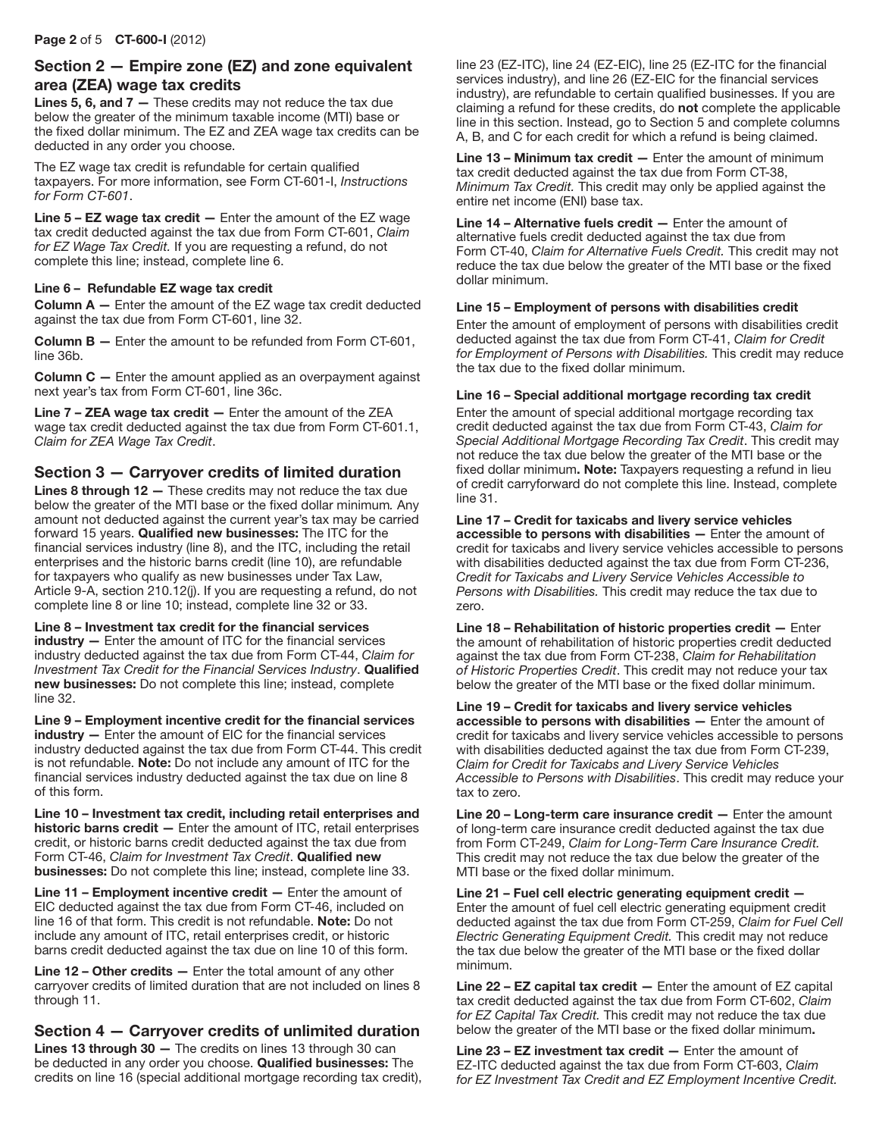### Section 2 — Empire zone (EZ) and zone equivalent area (ZEA) wage tax credits

**Lines 5, 6, and 7**  $-$  These credits may not reduce the tax due below the greater of the minimum taxable income (MTI) base or the fixed dollar minimum. The EZ and ZEA wage tax credits can be deducted in any order you choose.

The EZ wage tax credit is refundable for certain qualified taxpayers. For more information, see Form CT-601-I, *Instructions for Form CT-601*.

**Line**  $5 - EZ$  **wage tax credit**  $-$  Enter the amount of the EZ wage tax credit deducted against the tax due from Form CT-601, *Claim for EZ Wage Tax Credit.* If you are requesting a refund, do not complete this line; instead, complete line 6.

#### Line 6 – Refundable EZ wage tax credit

Column A — Enter the amount of the EZ wage tax credit deducted against the tax due from Form CT-601, line 32.

Column B — Enter the amount to be refunded from Form CT-601, line 36b.

Column C — Enter the amount applied as an overpayment against next year's tax from Form CT-601, line 36c.

Line  $7 - \mathsf{ZEA}$  wage tax credit  $-$  Enter the amount of the  $\mathsf{ZEA}$ wage tax credit deducted against the tax due from Form CT-601.1, *Claim for ZEA Wage Tax Credit*.

### Section 3 — Carryover credits of limited duration

Lines 8 through 12 — These credits may not reduce the tax due below the greater of the MTI base or the fixed dollar minimum*.* Any amount not deducted against the current year's tax may be carried forward 15 years. Qualified new businesses: The ITC for the financial services industry (line 8), and the ITC, including the retail enterprises and the historic barns credit (line 10), are refundable for taxpayers who qualify as new businesses under Tax Law, Article 9-A, section 210.12(j). If you are requesting a refund, do not complete line 8 or line 10; instead, complete line 32 or 33.

Line 8 – Investment tax credit for the financial services industry - Enter the amount of ITC for the financial services industry deducted against the tax due from Form CT-44, *Claim for Investment Tax Credit for the Financial Services Industry*. Qualified new businesses: Do not complete this line; instead, complete line 32.

Line 9 – Employment incentive credit for the financial services industry - Enter the amount of EIC for the financial services industry deducted against the tax due from Form CT-44. This credit is not refundable. Note: Do not include any amount of ITC for the financial services industry deducted against the tax due on line 8 of this form.

Line 10 – Investment tax credit, including retail enterprises and historic barns credit — Enter the amount of ITC, retail enterprises credit, or historic barns credit deducted against the tax due from Form CT-46, *Claim for Investment Tax Credit*. Qualified new businesses: Do not complete this line; instead, complete line 33.

Line 11 – Employment incentive credit — Enter the amount of EIC deducted against the tax due from Form CT‑46, included on line 16 of that form. This credit is not refundable. Note: Do not include any amount of ITC, retail enterprises credit, or historic barns credit deducted against the tax due on line 10 of this form.

Line 12 - Other credits - Enter the total amount of any other carryover credits of limited duration that are not included on lines 8 through 11.

## Section 4 — Carryover credits of unlimited duration

Lines 13 through 30 - The credits on lines 13 through 30 can be deducted in any order you choose. Qualified businesses: The credits on line 16 (special additional mortgage recording tax credit), line 23 (EZ-ITC), line 24 (EZ-EIC), line 25 (EZ-ITC for the financial services industry), and line 26 (EZ-EIC for the financial services industry), are refundable to certain qualified businesses. If you are claiming a refund for these credits, do not complete the applicable line in this section. Instead, go to Section 5 and complete columns A, B, and C for each credit for which a refund is being claimed.

Line  $13$  – Minimum tax credit  $-$  Enter the amount of minimum tax credit deducted against the tax due from Form CT-38, *Minimum Tax Credit.* This credit may only be applied against the entire net income (ENI) base tax.

Line 14 – Alternative fuels credit — Enter the amount of alternative fuels credit deducted against the tax due from Form CT-40, *Claim for Alternative Fuels Credit.* This credit may not reduce the tax due below the greater of the MTI base or the fixed dollar minimum.

#### Line 15 – Employment of persons with disabilities credit

Enter the amount of employment of persons with disabilities credit deducted against the tax due from Form CT-41, *Claim for Credit for Employment of Persons with Disabilities.* This credit may reduce the tax due to the fixed dollar minimum.

#### Line 16 – Special additional mortgage recording tax credit

Enter the amount of special additional mortgage recording tax credit deducted against the tax due from Form CT-43, *Claim for Special Additional Mortgage Recording Tax Credit*. This credit may not reduce the tax due below the greater of the MTI base or the fixed dollar minimum. Note: Taxpayers requesting a refund in lieu of credit carryforward do not complete this line. Instead, complete line 31.

Line 17 – Credit for taxicabs and livery service vehicles accessible to persons with disabilities — Enter the amount of credit for taxicabs and livery service vehicles accessible to persons with disabilities deducted against the tax due from Form CT-236, *Credit for Taxicabs and Livery Service Vehicles Accessible to Persons with Disabilities.* This credit may reduce the tax due to zero.

Line 18 – Rehabilitation of historic properties credit — Enter the amount of rehabilitation of historic properties credit deducted against the tax due from Form CT-238, *Claim for Rehabilitation of Historic Properties Credit*. This credit may not reduce your tax below the greater of the MTI base or the fixed dollar minimum.

Line 19 – Credit for taxicabs and livery service vehicles accessible to persons with disabilities — Enter the amount of credit for taxicabs and livery service vehicles accessible to persons with disabilities deducted against the tax due from Form CT-239, *Claim for Credit for Taxicabs and Livery Service Vehicles Accessible to Persons with Disabilities*. This credit may reduce your tax to zero.

Line 20 – Long-term care insurance credit — Enter the amount of long-term care insurance credit deducted against the tax due from Form CT-249, *Claim for Long-Term Care Insurance Credit.* This credit may not reduce the tax due below the greater of the MTI base or the fixed dollar minimum.

Line 21 – Fuel cell electric generating equipment credit — Enter the amount of fuel cell electric generating equipment credit deducted against the tax due from Form CT-259, *Claim for Fuel Cell Electric Generating Equipment Credit.* This credit may not reduce the tax due below the greater of the MTI base or the fixed dollar minimum.

Line 22 – EZ capital tax credit — Enter the amount of EZ capital tax credit deducted against the tax due from Form CT-602, *Claim for EZ Capital Tax Credit.* This credit may not reduce the tax due below the greater of the MTI base or the fixed dollar minimum.

Line  $23$  – EZ investment tax credit  $-$  Enter the amount of EZ‑ITC deducted against the tax due from Form CT-603, *Claim for EZ Investment Tax Credit and EZ Employment Incentive Credit.*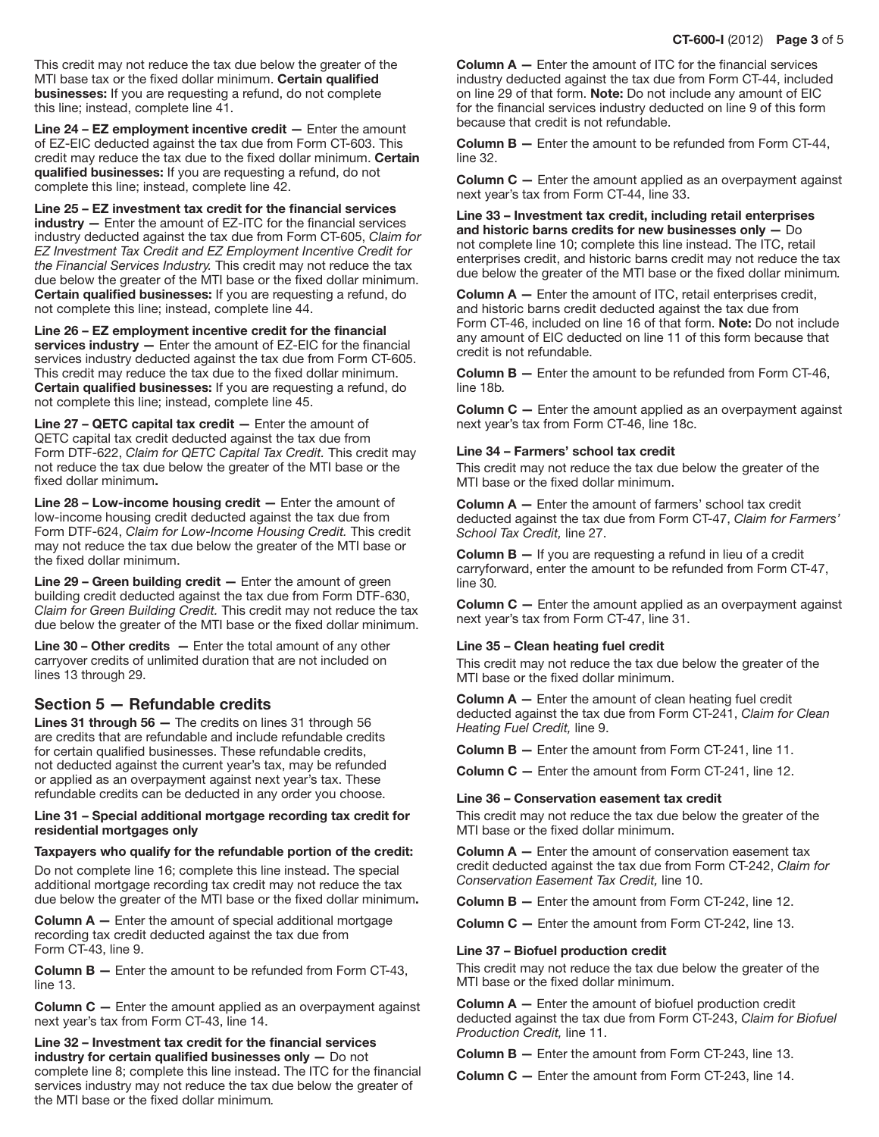This credit may not reduce the tax due below the greater of the MTI base tax or the fixed dollar minimum. Certain qualified businesses: If you are requesting a refund, do not complete this line; instead, complete line 41.

Line 24 – EZ employment incentive credit — Enter the amount of EZ‑EIC deducted against the tax due from Form CT-603. This credit may reduce the tax due to the fixed dollar minimum. Certain qualified businesses: If you are requesting a refund, do not complete this line; instead, complete line 42.

Line 25 – EZ investment tax credit for the financial services industry — Enter the amount of EZ‑ITC for the financial services industry deducted against the tax due from Form CT-605, *Claim for EZ Investment Tax Credit and EZ Employment Incentive Credit for the Financial Services Industry.* This credit may not reduce the tax due below the greater of the MTI base or the fixed dollar minimum. Certain qualified businesses: If you are requesting a refund, do not complete this line; instead, complete line 44.

Line 26 – EZ employment incentive credit for the financial services industry — Enter the amount of EZ-EIC for the financial services industry deducted against the tax due from Form CT-605. This credit may reduce the tax due to the fixed dollar minimum. Certain qualified businesses: If you are requesting a refund, do not complete this line; instead, complete line 45.

Line 27 – QETC capital tax credit — Enter the amount of QETC capital tax credit deducted against the tax due from Form DTF-622, *Claim for QETC Capital Tax Credit.* This credit may not reduce the tax due below the greater of the MTI base or the fixed dollar minimum.

Line 28 – Low-income housing credit — Enter the amount of low-income housing credit deducted against the tax due from Form DTF-624, *Claim for Low-Income Housing Credit.* This credit may not reduce the tax due below the greater of the MTI base or the fixed dollar minimum.

Line  $29$  – Green building credit  $-$  Enter the amount of green building credit deducted against the tax due from Form DTF-630, *Claim for Green Building Credit.* This credit may not reduce the tax due below the greater of the MTI base or the fixed dollar minimum.

**Line 30 – Other credits –** Enter the total amount of any other carryover credits of unlimited duration that are not included on lines 13 through 29.

### Section 5 — Refundable credits

Lines 31 through 56 — The credits on lines 31 through 56 are credits that are refundable and include refundable credits for certain qualified businesses. These refundable credits, not deducted against the current year's tax, may be refunded or applied as an overpayment against next year's tax. These refundable credits can be deducted in any order you choose.

#### Line 31 – Special additional mortgage recording tax credit for residential mortgages only

#### Taxpayers who qualify for the refundable portion of the credit:

Do not complete line 16; complete this line instead. The special additional mortgage recording tax credit may not reduce the tax due below the greater of the MTI base or the fixed dollar minimum.

**Column**  $A$   $-$  Enter the amount of special additional mortgage recording tax credit deducted against the tax due from Form CT-43, line 9.

Column B — Enter the amount to be refunded from Form CT-43, line 13.

Column C — Enter the amount applied as an overpayment against next year's tax from Form CT-43, line 14.

Line 32 – Investment tax credit for the financial services industry for certain qualified businesses only — Do not complete line 8; complete this line instead. The ITC for the financial services industry may not reduce the tax due below the greater of the MTI base or the fixed dollar minimum*.* 

**Column**  $A$   $-$  Enter the amount of ITC for the financial services industry deducted against the tax due from Form CT-44, included on line 29 of that form. Note: Do not include any amount of EIC for the financial services industry deducted on line 9 of this form because that credit is not refundable.

Column B — Enter the amount to be refunded from Form CT-44, line 32.

**Column C** – Enter the amount applied as an overpayment against next year's tax from Form CT-44, line 33.

Line 33 – Investment tax credit, including retail enterprises and historic barns credits for new businesses only — Do not complete line 10; complete this line instead. The ITC, retail enterprises credit, and historic barns credit may not reduce the tax due below the greater of the MTI base or the fixed dollar minimum*.*

Column A — Enter the amount of ITC, retail enterprises credit, and historic barns credit deducted against the tax due from Form CT-46, included on line 16 of that form. Note: Do not include any amount of EIC deducted on line 11 of this form because that credit is not refundable.

Column B — Enter the amount to be refunded from Form CT-46, line 18b*.*

**Column C** – Enter the amount applied as an overpayment against next year's tax from Form CT-46, line 18c.

#### Line 34 – Farmers' school tax credit

This credit may not reduce the tax due below the greater of the MTI base or the fixed dollar minimum.

Column A — Enter the amount of farmers' school tax credit deducted against the tax due from Form CT-47, *Claim for Farmers' School Tax Credit,* line 27.

**Column B**  $-$  If you are requesting a refund in lieu of a credit carryforward, enter the amount to be refunded from Form CT-47, line 30*.*

**Column C**  $-$  Enter the amount applied as an overpayment against next year's tax from Form CT-47, line 31.

#### Line 35 – Clean heating fuel credit

This credit may not reduce the tax due below the greater of the MTI base or the fixed dollar minimum.

**Column A**  $-$  Enter the amount of clean heating fuel credit deducted against the tax due from Form CT-241, *Claim for Clean Heating Fuel Credit,* line 9.

Column B — Enter the amount from Form CT-241, line 11.

Column C — Enter the amount from Form CT-241, line 12.

#### Line 36 – Conservation easement tax credit

This credit may not reduce the tax due below the greater of the MTI base or the fixed dollar minimum.

**Column**  $A$   $-$  Enter the amount of conservation easement tax credit deducted against the tax due from Form CT-242, *Claim for Conservation Easement Tax Credit,* line 10.

Column B — Enter the amount from Form CT-242, line 12.

Column C — Enter the amount from Form CT-242, line 13.

#### Line 37 – Biofuel production credit

This credit may not reduce the tax due below the greater of the MTI base or the fixed dollar minimum.

Column A — Enter the amount of biofuel production credit deducted against the tax due from Form CT-243, *Claim for Biofuel Production Credit,* line 11.

Column B — Enter the amount from Form CT-243, line 13.

Column C — Enter the amount from Form CT-243, line 14.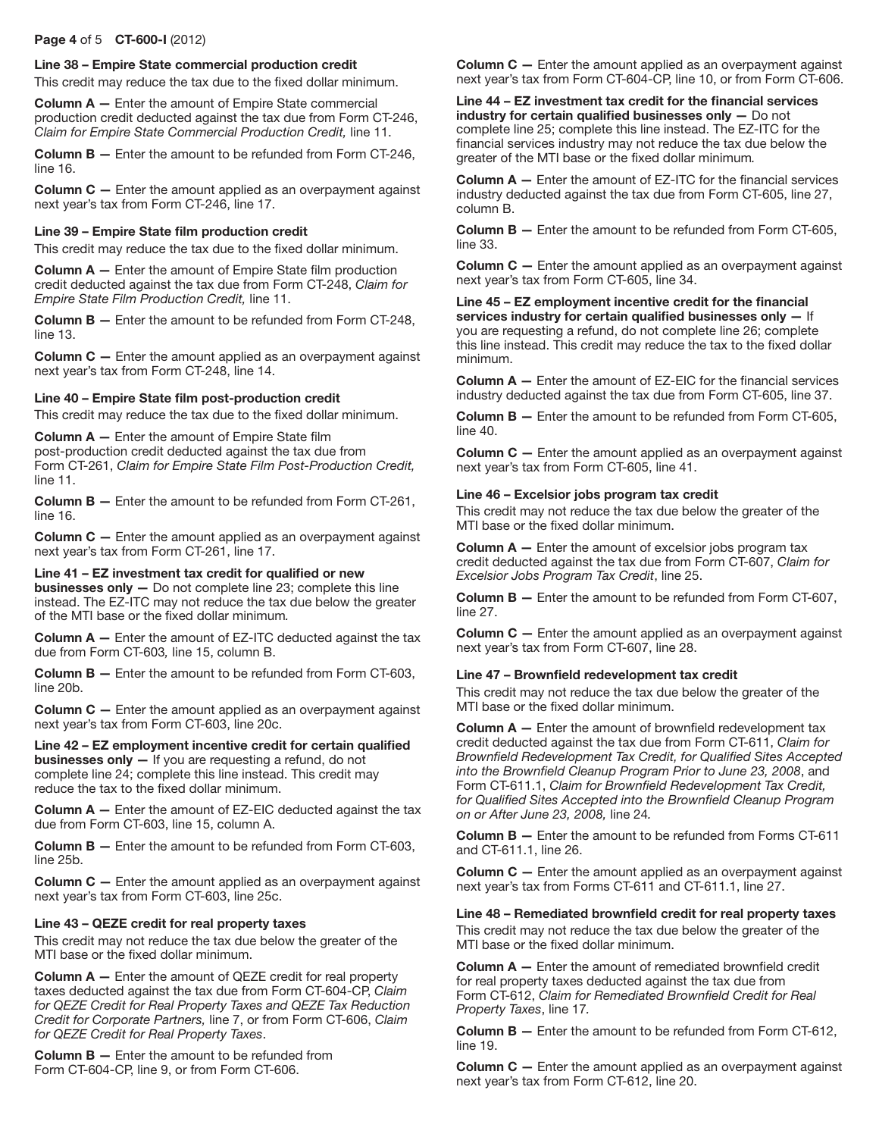#### Page 4 of 5 CT-600-I (2012)

#### Line 38 – Empire State commercial production credit

This credit may reduce the tax due to the fixed dollar minimum.

Column A — Enter the amount of Empire State commercial production credit deducted against the tax due from Form CT-246, *Claim for Empire State Commercial Production Credit,* line 11.

Column B — Enter the amount to be refunded from Form CT-246, line 16.

Column C — Enter the amount applied as an overpayment against next year's tax from Form CT-246, line 17.

#### Line 39 – Empire State film production credit

This credit may reduce the tax due to the fixed dollar minimum.

Column A — Enter the amount of Empire State film production credit deducted against the tax due from Form CT-248, *Claim for Empire State Film Production Credit,* line 11.

**Column B**  $-$  Enter the amount to be refunded from Form CT-248, line 13.

Column C — Enter the amount applied as an overpayment against next year's tax from Form CT‑248, line 14.

#### Line 40 – Empire State film post-production credit

This credit may reduce the tax due to the fixed dollar minimum.

Column A — Enter the amount of Empire State film post-production credit deducted against the tax due from Form CT-261, *Claim for Empire State Film Post-Production Credit,*  line 11.

**Column B**  $-$  Enter the amount to be refunded from Form CT-261, line 16.

Column C - Enter the amount applied as an overpayment against next year's tax from Form CT‑261, line 17.

Line 41 – EZ investment tax credit for qualified or new businesses only — Do not complete line 23; complete this line instead. The EZ-ITC may not reduce the tax due below the greater of the MTI base or the fixed dollar minimum*.*

Column A - Enter the amount of EZ-ITC deducted against the tax due from Form CT-603*,* line 15, column B.

Column B — Enter the amount to be refunded from Form CT-603, line 20b.

Column C - Enter the amount applied as an overpayment against next year's tax from Form CT-603, line 20c.

Line 42 – EZ employment incentive credit for certain qualified businesses only - If you are requesting a refund, do not complete line 24; complete this line instead. This credit may reduce the tax to the fixed dollar minimum.

**Column A**  $-$  Enter the amount of EZ-EIC deducted against the tax due from Form CT-603, line 15, column A.

Column B — Enter the amount to be refunded from Form CT-603, line 25b.

Column C — Enter the amount applied as an overpayment against next year's tax from Form CT-603, line 25c.

#### Line 43 – QEZE credit for real property taxes

This credit may not reduce the tax due below the greater of the MTI base or the fixed dollar minimum.

**Column**  $A$   $-$  Enter the amount of QEZE credit for real property taxes deducted against the tax due from Form CT‑604‑CP, *Claim for QEZE Credit for Real Property Taxes and QEZE Tax Reduction Credit for Corporate Partners,* line 7, or from Form CT-606, *Claim for QEZE Credit for Real Property Taxes*.

Column B — Enter the amount to be refunded from Form CT-604-CP, line 9, or from Form CT-606.

**Column C** – Enter the amount applied as an overpayment against next year's tax from Form CT-604-CP, line 10, or from Form CT-606.

Line 44 – EZ investment tax credit for the financial services industry for certain qualified businesses only — Do not complete line 25; complete this line instead. The EZ-ITC for the financial services industry may not reduce the tax due below the greater of the MTI base or the fixed dollar minimum*.*

Column A — Enter the amount of EZ‑ITC for the financial services industry deducted against the tax due from Form CT-605, line 27, column B.

Column B — Enter the amount to be refunded from Form CT-605, line 33.

**Column**  $C$  **– Enter the amount applied as an overpayment against** next year's tax from Form CT-605, line 34.

Line 45 – EZ employment incentive credit for the financial services industry for certain qualified businesses only - If you are requesting a refund, do not complete line 26; complete this line instead. This credit may reduce the tax to the fixed dollar minimum.

Column A — Enter the amount of EZ‑EIC for the financial services industry deducted against the tax due from Form CT-605, line 37.

Column B — Enter the amount to be refunded from Form CT-605, line 40.

**Column C**  $-$  Enter the amount applied as an overpayment against next year's tax from Form CT-605, line 41.

#### Line 46 – Excelsior jobs program tax credit

This credit may not reduce the tax due below the greater of the MTI base or the fixed dollar minimum.

**Column A**  $-$  Enter the amount of excelsior jobs program tax credit deducted against the tax due from Form CT-607, *Claim for Excelsior Jobs Program Tax Credit*, line 25.

Column B — Enter the amount to be refunded from Form CT-607, line 27.

**Column**  $C$   $-$  Enter the amount applied as an overpayment against next year's tax from Form CT-607, line 28.

#### Line 47 – Brownfield redevelopment tax credit

This credit may not reduce the tax due below the greater of the MTI base or the fixed dollar minimum.

**Column A**  $-$  Enter the amount of brownfield redevelopment tax credit deducted against the tax due from Form CT-611, *Claim for Brownfield Redevelopment Tax Credit, for Qualified Sites Accepted into the Brownfield Cleanup Program Prior to June 23, 2008*, and Form CT-611.1, *Claim for Brownfield Redevelopment Tax Credit, for Qualified Sites Accepted into the Brownfield Cleanup Program on or After June 23, 2008,* line 24*.*

Column B — Enter the amount to be refunded from Forms CT-611 and CT-611.1, line 26.

**Column**  $C$  **– Enter the amount applied as an overpayment against** next year's tax from Forms CT-611 and CT-611.1, line 27.

#### Line 48 – Remediated brownfield credit for real property taxes

This credit may not reduce the tax due below the greater of the MTI base or the fixed dollar minimum.

Column A — Enter the amount of remediated brownfield credit for real property taxes deducted against the tax due from Form CT-612, *Claim for Remediated Brownfield Credit for Real Property Taxes*, line 17*.*

Column B — Enter the amount to be refunded from Form CT-612, line 19.

**Column C** – Enter the amount applied as an overpayment against next year's tax from Form CT-612, line 20.